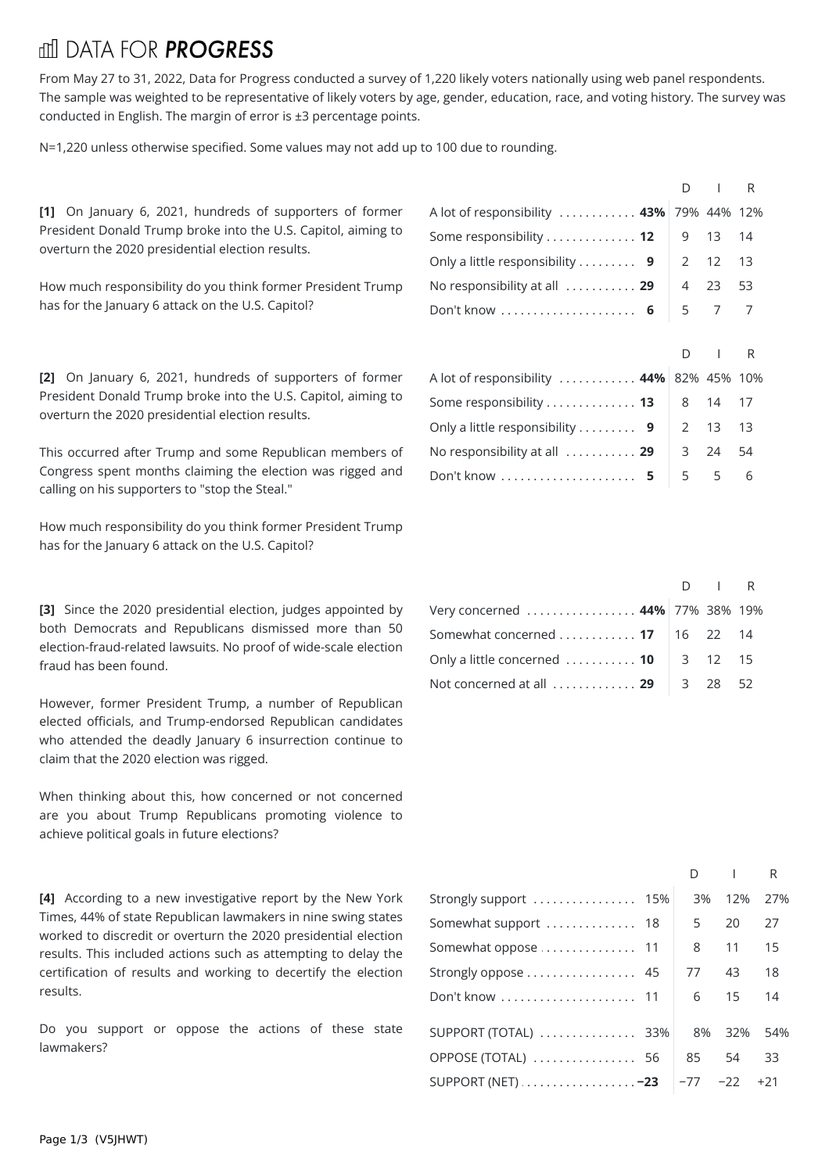## **THI DATA FOR PROGRESS**

From May 27 to 31, 2022, Data for Progress conducted a survey of 1,220 likely voters nationally using web panel respondents. The sample was weighted to be representative of likely voters by age, gender, education, race, and voting history. The survey was conducted in English. The margin of error is ±3 percentage points.

N=1,220 unless otherwise specified. Some values may not add up to 100 due to rounding.

[1] On January 6, 2021, hundreds of supporters of former President Donald Trump broke into the U.S. Capitol, aiming to overturn the 2020 presidential election results.

How much responsibility do you think former President Trump has for the January 6 attack on the U.S. Capitol?

[2] On January 6, 2021, hundreds of supporters of former President Donald Trump broke into the U.S. Capitol, aiming to overturn the 2020 presidential election results.

This occurred after Trump and some Republican members of Congress spent months claiming the election was rigged and calling on his supporters to "stop the Steal."

How much responsibility do you think former President Trump has for the January 6 attack on the U.S. Capitol?

**[3]** Since the 2020 presidential election, judges appointed by both Democrats and Republicans dismissed more than 50 election-fraud-related lawsuits. No proof of wide-scale election fraud has been found.

However, former President Trump, a number of Republican elected officials, and Trump-endorsed Republican candidates who attended the deadly January 6 insurrection continue to claim that the 2020 election was rigged.

When thinking about this, how concerned or not concerned are you about Trump Republicans promoting violence to achieve political goals in future elections?

**[4]** According to a new investigative report by the New York Times, 44% of state Republican lawmakers in nine swing states worked to discredit or overturn the 2020 presidential election results. This included actions such as attempting to delay the certification of results and working to decertify the election results.

Do you support or oppose the actions of these state lawmakers?

|                                                                    | $D \cup R$ |  |
|--------------------------------------------------------------------|------------|--|
| A lot of responsibility  43% 79% 44% 12%                           |            |  |
| Some responsibility 12 $\vert$ 9 13 14                             |            |  |
| Only a little responsibility 9 $\vert$ 2 12 13                     |            |  |
| No responsibility at all $\ldots \ldots \ldots$ 29 $\vert$ 4 23 53 |            |  |
| Don't know  6   5 7 7                                              |            |  |
|                                                                    |            |  |
|                                                                    |            |  |

|                                                              | $D \cup R$ |  |
|--------------------------------------------------------------|------------|--|
| A lot of responsibility  44% 82% 45% 10%                     |            |  |
| Some responsibility <b>13</b>   8 14 17                      |            |  |
| Only a little responsibility 9 $\vert$ 2 13 13               |            |  |
| No responsibility at all $\ldots \ldots \ldots$ 29   3 24 54 |            |  |
| Don't know  5 5 5 6                                          |            |  |

|                                                             | $D \cup R$ |  |
|-------------------------------------------------------------|------------|--|
| Very concerned  44% 77% 38% 19%                             |            |  |
| Somewhat concerned 17   16 22 14                            |            |  |
| Only a little concerned $\ldots \ldots \ldots$ 10   3 12 15 |            |  |
| Not concerned at all $\ldots$ 29 $\parallel$ 3 28 52        |            |  |

|                                 | D  |     | R    |  |
|---------------------------------|----|-----|------|--|
| Strongly support  15%           | 3% | 12% | 27%  |  |
| Somewhat support  18            | 5  | 20  | 27   |  |
| Somewhat oppose  11             | 8  | 11  | 15   |  |
| Strongly oppose  45             | 77 | 43  | 18   |  |
| Don't know  11                  | 6  | 15  | - 14 |  |
| SUPPORT (TOTAL)  33%            | 8% | 32% | 54%  |  |
| OPPOSE (TOTAL)  56              | 85 | 54  | 33   |  |
| SUPPORT (NET) -23   −77 −22 +21 |    |     |      |  |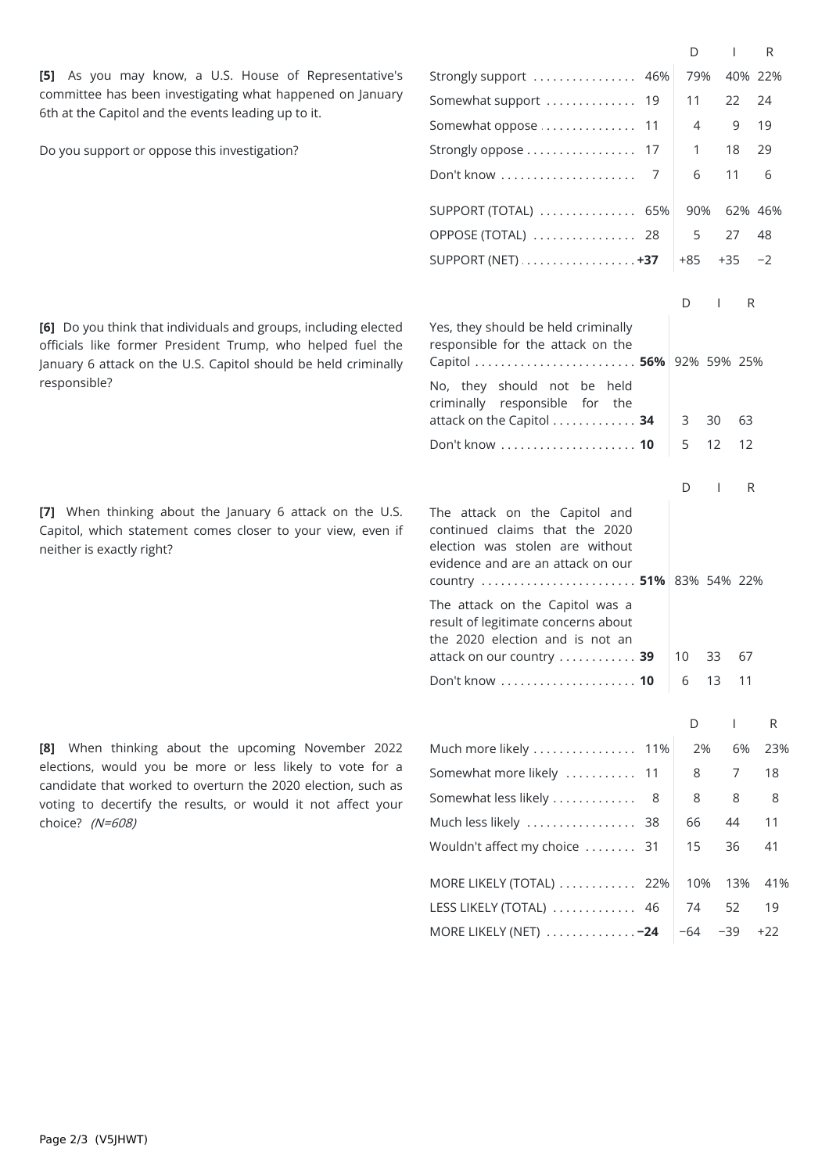**[5]** As you may know, a U.S. House of Representative's committee has been investigating what happened on January 6th at the Capitol and the events leading up to it.

Do you support or oppose this investigation?

**[6]** Do you think that individuals and groups, including elected officials like former President Trump, who helped fuel the January 6 attack on the U.S. Capitol should be held criminally responsible?

**[7]** When thinking about the January 6 attack on the U.S. Capitol, which statement comes closer to your view, even if neither is exactly right?

**[8]** When thinking about the upcoming November 2022 elections, would you be more or less likely to vote for a candidate that worked to overturn the 2020 election, such as voting to decertify the results, or would it not affect your choice? (N=608)

|                                                                                                                                                                     |     | D     | I.       | R     |  |
|---------------------------------------------------------------------------------------------------------------------------------------------------------------------|-----|-------|----------|-------|--|
| Strongly support                                                                                                                                                    | 46% | 79%   | 40% 22%  |       |  |
| Somewhat support                                                                                                                                                    | 19  | 11    | 22       | 24    |  |
| Somewhat oppose                                                                                                                                                     | 11  | 4     | 9        | 19    |  |
| Strongly oppose                                                                                                                                                     | 17  | 1     | 18       | 29    |  |
| Don't know                                                                                                                                                          | 7   | 6     | 11       | 6     |  |
| $SUPPORT (TOTAL)$                                                                                                                                                   | 65% | 90%   | 62% 46%  |       |  |
| OPPOSE (TOTAL)                                                                                                                                                      | -28 | 5     | 27       | 48    |  |
| SUPPORT (NET) $\dots\dots\dots\dots\dots\dots$                                                                                                                      |     | +85   | +35      | $-2$  |  |
|                                                                                                                                                                     |     |       |          |       |  |
|                                                                                                                                                                     |     | D     | R<br>I   |       |  |
| Yes, they should be held criminally<br>responsible for the attack on the                                                                                            |     |       |          |       |  |
| Capitol  56% 92% 59% 25%                                                                                                                                            |     |       |          |       |  |
| No, they should not be held<br>criminally responsible for the<br>attack on the Capitol 34                                                                           |     | 3     | 30<br>63 |       |  |
|                                                                                                                                                                     |     | 5     | 12<br>12 |       |  |
|                                                                                                                                                                     |     |       |          |       |  |
|                                                                                                                                                                     |     | D     | T<br>R   |       |  |
| The attack on the Capitol and<br>continued claims that the 2020<br>election was stolen are without<br>evidence and are an attack on our<br>country  51% 83% 54% 22% |     |       |          |       |  |
| The attack on the Capitol was a<br>result of legitimate concerns about<br>the 2020 election and is not an                                                           |     |       |          |       |  |
| attack on our country  39                                                                                                                                           |     | 10    | 33<br>67 |       |  |
|                                                                                                                                                                     |     | 6     | 13<br>11 |       |  |
|                                                                                                                                                                     |     | D     | T        | R     |  |
| Much more likely                                                                                                                                                    | 11% | 2%    | 6%       | 23%   |  |
| Somewhat more likely                                                                                                                                                | 11  | 8     | 7        | 18    |  |
| Somewhat less likely                                                                                                                                                | 8   | 8     | 8        | 8     |  |
| Much less likely                                                                                                                                                    | 38  | 66    | 44       | 11    |  |
| Wouldn't affect my choice                                                                                                                                           | 31  | 15    | 36       | 41    |  |
| MORE LIKELY (TOTAL)                                                                                                                                                 | 22% | 10%   | 13%      | 41%   |  |
| LESS LIKELY (TOTAL)                                                                                                                                                 | 46  | 74    | 52       | 19    |  |
| MORE LIKELY (NET)  -24                                                                                                                                              |     | $-64$ | $-39$    | $+22$ |  |